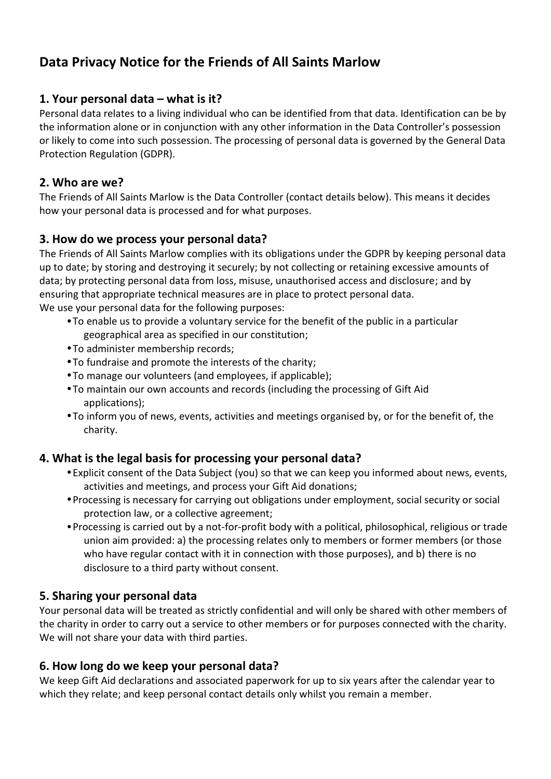# **Data Privacy Notice for the Friends of All Saints Marlow**

# **1. Your personal data – what is it?**

Personal data relates to a living individual who can be identified from that data. Identification can be by the information alone or in conjunction with any other information in the Data Controller's possession or likely to come into such possession. The processing of personal data is governed by the General Data Protection Regulation (GDPR).

#### **2. Who are we?**

The Friends of All Saints Marlow is the Data Controller (contact details below). This means it decides how your personal data is processed and for what purposes.

# **3. How do we process your personal data?**

The Friends of All Saints Marlow complies with its obligations under the GDPR by keeping personal data up to date; by storing and destroying it securely; by not collecting or retaining excessive amounts of data; by protecting personal data from loss, misuse, unauthorised access and disclosure; and by ensuring that appropriate technical measures are in place to protect personal data. We use your personal data for the following purposes:

- •To enable us to provide a voluntary service for the benefit of the public in a particular geographical area as specified in our constitution;
- •To administer membership records;
- •To fundraise and promote the interests of the charity;
- •To manage our volunteers (and employees, if applicable);
- •To maintain our own accounts and records (including the processing of Gift Aid applications);
- •To inform you of news, events, activities and meetings organised by, or for the benefit of, the charity.

# **4. What is the legal basis for processing your personal data?**

- •Explicit consent of the Data Subject (you) so that we can keep you informed about news, events, activities and meetings, and process your Gift Aid donations;
- •Processing is necessary for carrying out obligations under employment, social security or social protection law, or a collective agreement;
- •Processing is carried out by a not-for-profit body with a political, philosophical, religious or trade union aim provided: a) the processing relates only to members or former members (or those who have regular contact with it in connection with those purposes), and b) there is no disclosure to a third party without consent.

# **5. Sharing your personal data**

Your personal data will be treated as strictly confidential and will only be shared with other members of the charity in order to carry out a service to other members or for purposes connected with the charity. We will not share your data with third parties.

#### **6. How long do we keep your personal data?**

We keep Gift Aid declarations and associated paperwork for up to six years after the calendar year to which they relate; and keep personal contact details only whilst you remain a member.